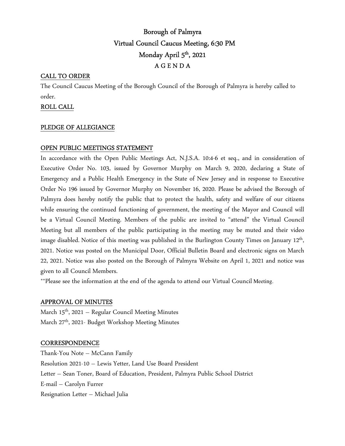# Borough of Palmyra Virtual Council Caucus Meeting, 6:30 PM Monday April 5<sup>th</sup>, 2021 A G E N D A

## CALL TO ORDER

The Council Caucus Meeting of the Borough Council of the Borough of Palmyra is hereby called to order.

## ROLL CALL

## PLEDGE OF ALLEGIANCE

## OPEN PUBLIC MEETINGS STATEMENT

In accordance with the Open Public Meetings Act, N.J.S.A. 10:4-6 et seq., and in consideration of Executive Order No. 103, issued by Governor Murphy on March 9, 2020, declaring a State of Emergency and a Public Health Emergency in the State of New Jersey and in response to Executive Order No 196 issued by Governor Murphy on November 16, 2020. Please be advised the Borough of Palmyra does hereby notify the public that to protect the health, safety and welfare of our citizens while ensuring the continued functioning of government, the meeting of the Mayor and Council will be a Virtual Council Meeting. Members of the public are invited to "attend" the Virtual Council Meeting but all members of the public participating in the meeting may be muted and their video image disabled. Notice of this meeting was published in the Burlington County Times on January 12<sup>th</sup>, 2021. Notice was posted on the Municipal Door, Official Bulletin Board and electronic signs on March 22, 2021. Notice was also posted on the Borough of Palmyra Website on April 1, 2021 and notice was given to all Council Members.

\*\*Please see the information at the end of the agenda to attend our Virtual Council Meeting.

## APPROVAL OF MINUTES

March 15<sup>th</sup>, 2021 – Regular Council Meeting Minutes March 27<sup>th</sup>, 2021- Budget Workshop Meeting Minutes

## **CORRESPONDENCE**

Thank-You Note – McCann Family Resolution 2021-10 – Lewis Yetter, Land Use Board President Letter – Sean Toner, Board of Education, President, Palmyra Public School District E-mail – Carolyn Furrer Resignation Letter – Michael Julia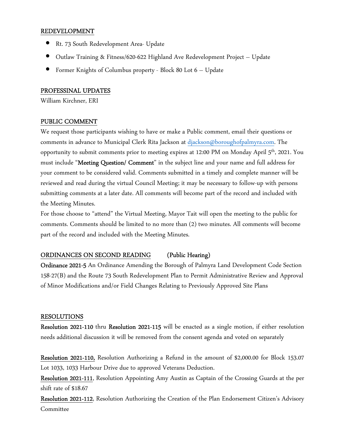#### REDEVELOPMENT

- Rt. 73 South Redevelopment Area- Update
- Outlaw Training & Fitness/620-622 Highland Ave Redevelopment Project Update
- Former Knights of Columbus property Block 80 Lot 6 Update

#### PROFESSINAL UPDATES

William Kirchner, ERI

#### PUBLIC COMMENT

We request those participants wishing to have or make a Public comment, email their questions or comments in advance to Municipal Clerk Rita Jackson at djackson@boroughofpalmyra.com. The opportunity to submit comments prior to meeting expires at 12:00 PM on Monday April 5<sup>th</sup>, 2021. You must include "Meeting Question/ Comment" in the subject line and your name and full address for your comment to be considered valid. Comments submitted in a timely and complete manner will be reviewed and read during the virtual Council Meeting; it may be necessary to follow-up with persons submitting comments at a later date. All comments will become part of the record and included with the Meeting Minutes.

For those choose to "attend" the Virtual Meeting, Mayor Tait will open the meeting to the public for comments. Comments should be limited to no more than (2) two minutes. All comments will become part of the record and included with the Meeting Minutes.

## ORDINANCES ON SECOND READING (Public Hearing)

Ordinance 2021-5 An Ordinance Amending the Borough of Palmyra Land Development Code Section 158-27(B) and the Route 73 South Redevelopment Plan to Permit Administrative Review and Approval of Minor Modifications and/or Field Changes Relating to Previously Approved Site Plans

#### RESOLUTIONS

Resolution 2021-110 thru Resolution 2021-115 will be enacted as a single motion, if either resolution needs additional discussion it will be removed from the consent agenda and voted on separately

Resolution 2021-110, Resolution Authorizing a Refund in the amount of \$2,000.00 for Block 153.07 Lot 1033, 1033 Harbour Drive due to approved Veterans Deduction.

Resolution 2021-111, Resolution Appointing Amy Austin as Captain of the Crossing Guards at the per shift rate of \$18.67

Resolution 2021-112, Resolution Authorizing the Creation of the Plan Endorsement Citizen's Advisory Committee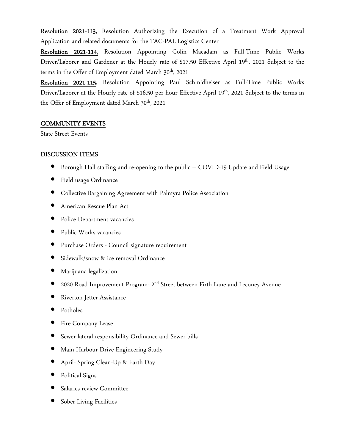Resolution 2021-113, Resolution Authorizing the Execution of a Treatment Work Approval Application and related documents for the TAC-PAL Logistics Center

Resolution 2021-114, Resolution Appointing Colin Macadam as Full-Time Public Works Driver/Laborer and Gardener at the Hourly rate of \$17.50 Effective April 19<sup>th</sup>, 2021 Subject to the terms in the Offer of Employment dated March  $30<sup>th</sup>$ , 2021

Resolution 2021-115, Resolution Appointing Paul Schmidheiser as Full-Time Public Works Driver/Laborer at the Hourly rate of \$16.50 per hour Effective April 19<sup>th</sup>, 2021 Subject to the terms in the Offer of Employment dated March 30<sup>th</sup>, 2021

## COMMUNITY EVENTS

State Street Events

## DISCUSSION ITEMS

- Borough Hall staffing and re-opening to the public COVID-19 Update and Field Usage
- Field usage Ordinance
- Collective Bargaining Agreement with Palmyra Police Association
- American Rescue Plan Act
- Police Department vacancies
- Public Works vacancies
- Purchase Orders Council signature requirement
- Sidewalk/snow & ice removal Ordinance
- Marijuana legalization
- 2020 Road Improvement Program- 2nd Street between Firth Lane and Leconey Avenue
- Riverton Jetter Assistance
- Potholes
- Fire Company Lease
- Sewer lateral responsibility Ordinance and Sewer bills
- Main Harbour Drive Engineering Study
- April- Spring Clean-Up & Earth Day
- Political Signs
- Salaries review Committee
- Sober Living Facilities